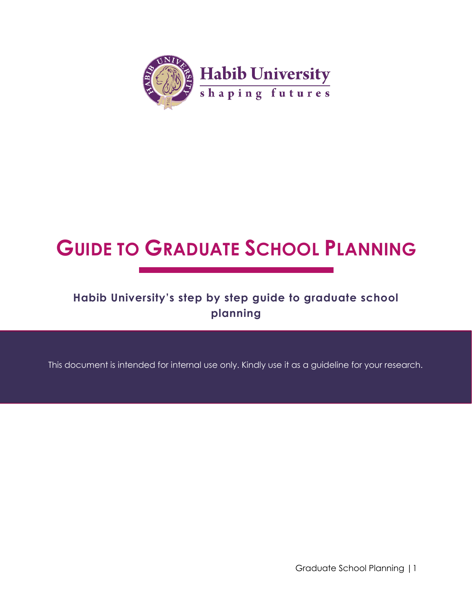<span id="page-0-0"></span>

# **GUIDE TO GRADUATE SCHOOL PLANNING**

## **Habib University's step by step guide to graduate school planning**

This document is intended for internal use only. Kindly use it as a guideline for your research.

Graduate School Planning |1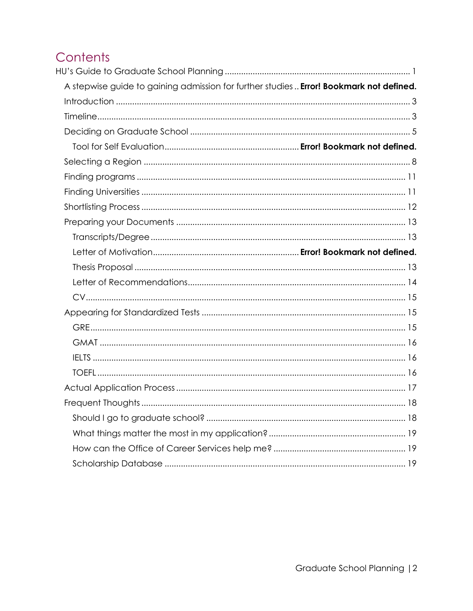# Contents

<span id="page-1-0"></span>

| A stepwise guide to gaining admission for further studies Error! Bookmark not defined. |  |
|----------------------------------------------------------------------------------------|--|
|                                                                                        |  |
|                                                                                        |  |
|                                                                                        |  |
|                                                                                        |  |
|                                                                                        |  |
|                                                                                        |  |
|                                                                                        |  |
|                                                                                        |  |
|                                                                                        |  |
|                                                                                        |  |
|                                                                                        |  |
|                                                                                        |  |
|                                                                                        |  |
|                                                                                        |  |
|                                                                                        |  |
|                                                                                        |  |
|                                                                                        |  |
|                                                                                        |  |
|                                                                                        |  |
|                                                                                        |  |
|                                                                                        |  |
|                                                                                        |  |
|                                                                                        |  |
|                                                                                        |  |
|                                                                                        |  |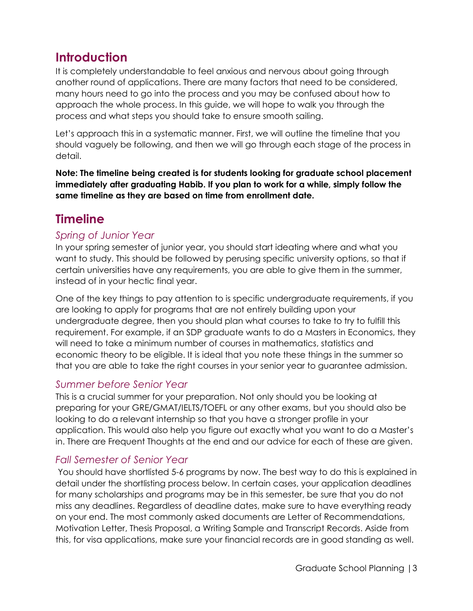## **Introduction**

It is completely understandable to feel anxious and nervous about going through another round of applications. There are many factors that need to be considered, many hours need to go into the process and you may be confused about how to approach the whole process. In this guide, we will hope to walk you through the process and what steps you should take to ensure smooth sailing.

Let's approach this in a systematic manner. First, we will outline the timeline that you should vaguely be following, and then we will go through each stage of the process in detail.

**Note: The timeline being created is for students looking for graduate school placement immediately after graduating Habib. If you plan to work for a while, simply follow the same timeline as they are based on time from enrollment date.**

# <span id="page-2-0"></span>**Timeline**

#### *Spring of Junior Year*

In your spring semester of junior year, you should start ideating where and what you want to study. This should be followed by perusing specific university options, so that if certain universities have any requirements, you are able to give them in the summer, instead of in your hectic final year.

One of the key things to pay attention to is specific undergraduate requirements, if you are looking to apply for programs that are not entirely building upon your undergraduate degree, then you should plan what courses to take to try to fulfill this requirement. For example, if an SDP graduate wants to do a Masters in Economics, they will need to take a minimum number of courses in mathematics, statistics and economic theory to be eligible. It is ideal that you note these things in the summer so that you are able to take the right courses in your senior year to guarantee admission.

#### *Summer before Senior Year*

This is a crucial summer for your preparation. Not only should you be looking at preparing for your GRE/GMAT/IELTS/TOEFL or any other exams, but you should also be looking to do a relevant internship so that you have a stronger profile in your application. This would also help you figure out exactly what you want to do a Master's in. There are Frequent Thoughts at the end and our advice for each of these are given.

#### *Fall Semester of Senior Year*

You should have shortlisted 5-6 programs by now. The best way to do this is explained in detail under the shortlisting process below. In certain cases, your application deadlines for many scholarships and programs may be in this semester, be sure that you do not miss any deadlines. Regardless of deadline dates, make sure to have everything ready on your end. The most commonly asked documents are Letter of Recommendations, Motivation Letter, Thesis Proposal, a Writing Sample and Transcript Records. Aside from this, for visa applications, make sure your financial records are in good standing as well.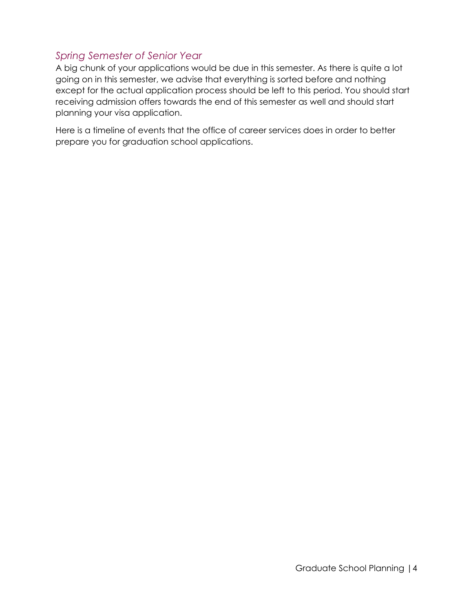#### *Spring Semester of Senior Year*

A big chunk of your applications would be due in this semester. As there is quite a lot going on in this semester, we advise that everything is sorted before and nothing except for the actual application process should be left to this period. You should start receiving admission offers towards the end of this semester as well and should start planning your visa application.

<span id="page-3-0"></span>Here is a timeline of events that the office of career services does in order to better prepare you for graduation school applications.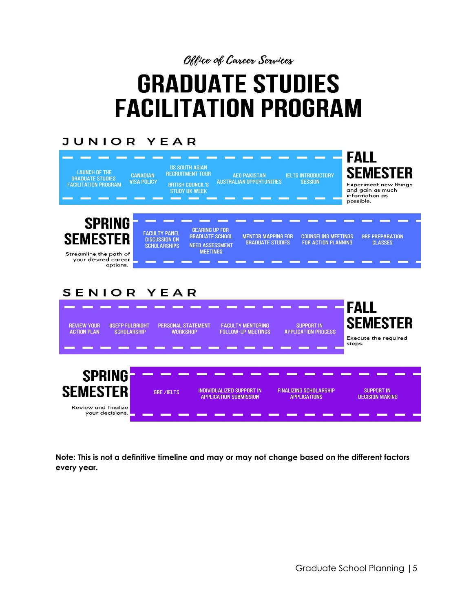Office of Career Services

# **GRADUATE STUDIES FACILITATION PROGRAM**

### **JUNIOR YEAR**

| <b>US SOUTH ASIAN</b><br><b>LAUNCH OF THE</b><br><b>RECRUITMENT TOUR</b><br><b>CANADIAN</b><br><b>AEO PAKISTAN</b><br><b>IELTS INTRODUCTORY</b><br><b>GRADUATE STUDIES</b><br><b>VISA POLICY</b><br><b>AUSTRALIAN OPPORTUNITIES</b><br><b>SESSION</b><br><b>FACILITATION PROGRAM</b><br><b>BRTISH COUNCIL'S</b><br><b>STUDY UK WEEK</b>                                                  | <b>FALL</b><br><b>SEMESTER</b><br><b>Experiment new things</b><br>and aain as much<br>information as<br>possible. |
|------------------------------------------------------------------------------------------------------------------------------------------------------------------------------------------------------------------------------------------------------------------------------------------------------------------------------------------------------------------------------------------|-------------------------------------------------------------------------------------------------------------------|
| <b>SPRING</b><br><b>GEARING UP FOR</b><br><b>FACULTY PANEL</b><br><b>SEMESTER</b><br><b>GRADUATE SCHOOL</b><br><b>MENTOR MAPPING FOR</b><br><b>COUNSELING MEETINGS</b><br><b>DISCUSSION ON</b><br><b>GRADUATE STUDIES</b><br><b>FOR ACTION PLANNING</b><br><b>NEED ASSESSMENT</b><br><b>SCHOLARSHIPS</b><br><b>MEETINGS</b><br>Streamline the path of<br>your desired career<br>options. | <b>GRE PREPARATION</b><br><b>CLASSES</b>                                                                          |
| SENIOR YEAR<br><b>REVIEW YOUR</b><br><b>USEFP FULBRIGHT</b><br><b>PERSONAL STATEMENT</b><br><b>FACULTY MENTORING</b><br><b>SUPPORT IN</b><br><b>FOLLOW-UP MEETINGS</b><br><b>APPLICATION PROCESS</b><br><b>ACTION PLAN</b><br><b>SCHOLARSHIP</b><br><b>WORKSHOP</b>                                                                                                                      | <b>FALL</b><br><b>SEMESTER</b><br><b>Execute the required</b><br>steps.                                           |
| <b>SPRING</b><br><b>SEMESTER</b><br>INDIVIDUALIZED SUPPORT IN<br><b>FINALIZING SCHOLARSHIP</b><br><b>GRE /IELTS</b><br><b>APPLICATION SUBMISSION</b><br><b>APPLICATIONS</b><br><b>Review and finalize</b><br>your decisions.                                                                                                                                                             | <b>SUPPORT IN</b><br><b>DECISION MAKING</b>                                                                       |

**Note: This is not a definitive timeline and may or may not change based on the different factors every year.**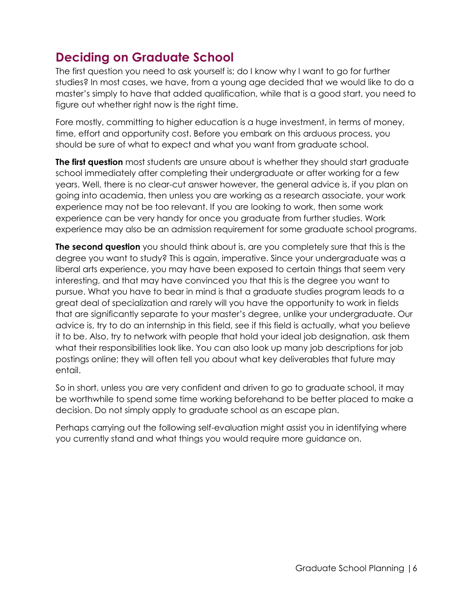# **Deciding on Graduate School**

The first question you need to ask yourself is; do I know why I want to go for further studies? In most cases, we have, from a young age decided that we would like to do a master's simply to have that added qualification, while that is a good start, you need to figure out whether right now is the right time.

Fore mostly, committing to higher education is a huge investment, in terms of money, time, effort and opportunity cost. Before you embark on this arduous process, you should be sure of what to expect and what you want from graduate school.

**The first question** most students are unsure about is whether they should start graduate school immediately after completing their undergraduate or after working for a few years. Well, there is no clear-cut answer however, the general advice is, if you plan on going into academia, then unless you are working as a research associate, your work experience may not be too relevant. If you are looking to work, then some work experience can be very handy for once you graduate from further studies. Work experience may also be an admission requirement for some graduate school programs.

**The second question** you should think about is, are you completely sure that this is the degree you want to study? This is again, imperative. Since your undergraduate was a liberal arts experience, you may have been exposed to certain things that seem very interesting, and that may have convinced you that this is the degree you want to pursue. What you have to bear in mind is that a graduate studies program leads to a great deal of specialization and rarely will you have the opportunity to work in fields that are significantly separate to your master's degree, unlike your undergraduate. Our advice is, try to do an internship in this field, see if this field is actually, what you believe it to be. Also, try to network with people that hold your ideal job designation, ask them what their responsibilities look like. You can also look up many job descriptions for job postings online; they will often tell you about what key deliverables that future may entail.

So in short, unless you are very confident and driven to go to graduate school, it may be worthwhile to spend some time working beforehand to be better placed to make a decision. Do not simply apply to graduate school as an escape plan.

Perhaps carrying out the following self-evaluation might assist you in identifying where you currently stand and what things you would require more guidance on.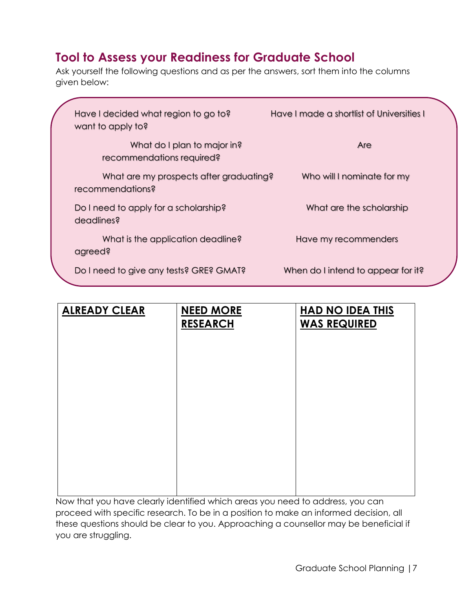# **Tool to Assess your Readiness for Graduate School**

Ask yourself the following questions and as per the answers, sort them into the columns given below:

| Have I decided what region to go to?<br>want to apply to?   | Have I made a shortlist of Universities I |  |  |
|-------------------------------------------------------------|-------------------------------------------|--|--|
| What do I plan to major in?<br>recommendations required?    | Are                                       |  |  |
| What are my prospects after graduating?<br>recommendations? | Who will I nominate for my                |  |  |
| Do I need to apply for a scholarship?<br>deadlines?         | What are the scholarship                  |  |  |
| What is the application deadline?<br>agreed?                | Have my recommenders                      |  |  |
| Do I need to give any tests? GRE? GMAT?                     | When do I intend to appear for it?        |  |  |

| <b>ALREADY CLEAR</b> | <b>NEED MORE</b><br><b>RESEARCH</b> | <b>HAD NO IDEA THIS</b><br><b>WAS REQUIRED</b> |
|----------------------|-------------------------------------|------------------------------------------------|
|                      |                                     |                                                |
|                      |                                     |                                                |
|                      |                                     |                                                |
|                      |                                     |                                                |
|                      |                                     |                                                |

Now that you have clearly identified which areas you need to address, you can proceed with specific research. To be in a position to make an informed decision, all these questions should be clear to you. Approaching a counsellor may be beneficial if you are struggling.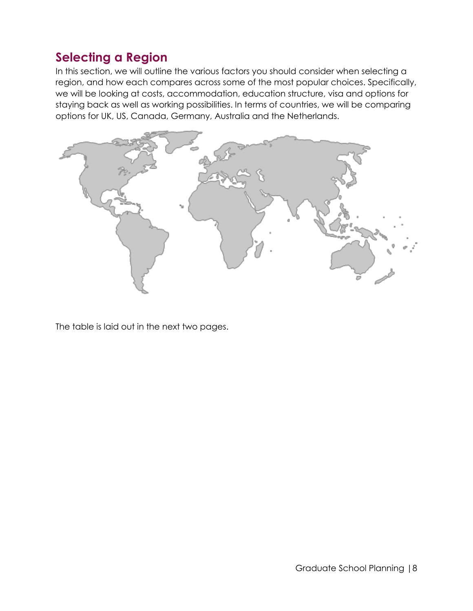## <span id="page-7-0"></span>**Selecting a Region**

In this section, we will outline the various factors you should consider when selecting a region, and how each compares across some of the most popular choices. Specifically, we will be looking at costs, accommodation, education structure, visa and options for staying back as well as working possibilities. In terms of countries, we will be comparing options for UK, US, Canada, Germany, Australia and the Netherlands.



The table is laid out in the next two pages.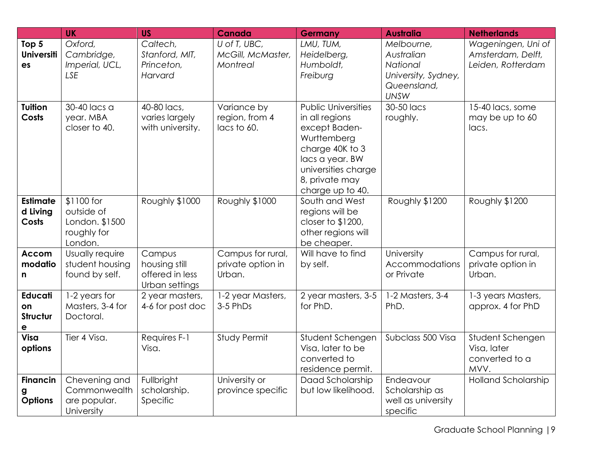|                                              | <b>UK</b>                                                            | <b>US</b>                                                    | <b>Canada</b>                                    | <b>Germany</b>                                                                                                                                                                  | <b>Australia</b>                                                                          | <b>Netherlands</b>                                           |
|----------------------------------------------|----------------------------------------------------------------------|--------------------------------------------------------------|--------------------------------------------------|---------------------------------------------------------------------------------------------------------------------------------------------------------------------------------|-------------------------------------------------------------------------------------------|--------------------------------------------------------------|
| Top 5<br><b>Universiti</b><br>es             | Oxford,<br>Cambridge,<br>Imperial, UCL,<br><b>LSE</b>                | Caltech,<br>Stanford, MIT,<br>Princeton,<br>Harvard          | U of T, UBC,<br>McGill, McMaster,<br>Montreal    | LMU, TUM,<br>Heidelberg,<br>Humboldt,<br>Freiburg                                                                                                                               | Melbourne,<br>Australian<br>National<br>University, Sydney,<br>Queensland,<br><b>UNSW</b> | Wageningen, Uni of<br>Amsterdam, Delft,<br>Leiden, Rotterdam |
| <b>Tuition</b><br>Costs                      | 30-40 lacs a<br>year. MBA<br>closer to 40.                           | 40-80 lacs,<br>varies largely<br>with university.            | Variance by<br>region, from 4<br>lacs to 60.     | <b>Public Universities</b><br>in all regions<br>except Baden-<br>Wurttemberg<br>charge 40K to 3<br>lacs a year. BW<br>universities charge<br>8, private may<br>charge up to 40. | 30-50 lacs<br>roughly.                                                                    | 15-40 lacs, some<br>may be up to 60<br>lacs.                 |
| <b>Estimate</b><br>d Living<br><b>Costs</b>  | \$1100 for<br>outside of<br>London. \$1500<br>roughly for<br>London. | Roughly \$1000                                               | Roughly \$1000                                   | South and West<br>regions will be<br>closer to $$1200$ ,<br>other regions will<br>be cheaper.                                                                                   | Roughly \$1200                                                                            | Roughly \$1200                                               |
| <b>Accom</b><br>modatio<br>n                 | Usually require<br>student housing<br>found by self.                 | Campus<br>housing still<br>offered in less<br>Urban settings | Campus for rural,<br>private option in<br>Urban. | Will have to find<br>by self.                                                                                                                                                   | University<br>Accommodations<br>or Private                                                | Campus for rural,<br>private option in<br>Urban.             |
| <b>Educati</b><br>on<br><b>Structur</b><br>е | 1-2 years for<br>Masters, 3-4 for<br>Doctoral.                       | 2 year masters,<br>4-6 for post doc                          | 1-2 year Masters,<br>3-5 PhDs                    | 2 year masters, 3-5<br>for PhD.                                                                                                                                                 | 1-2 Masters, 3-4<br>PhD.                                                                  | 1-3 years Masters,<br>approx. 4 for PhD                      |
| Visa<br>options                              | Tier 4 Visa.                                                         | Requires F-1<br>Visa.                                        | Study Permit                                     | Student Schengen<br>Visa, later to be<br>converted to<br>residence permit.                                                                                                      | Subclass 500 Visa                                                                         | Student Schengen<br>Visa, later<br>converted to a<br>MVV.    |
| <b>Financin</b><br>g<br><b>Options</b>       | Chevening and<br>Commonwealth<br>are popular.<br>University          | Fullbright<br>scholarship.<br>Specific                       | University or<br>province specific               | Daad Scholarship<br>but low likelihood.                                                                                                                                         | Endeavour<br>Scholarship as<br>well as university<br>specific                             | Holland Scholarship                                          |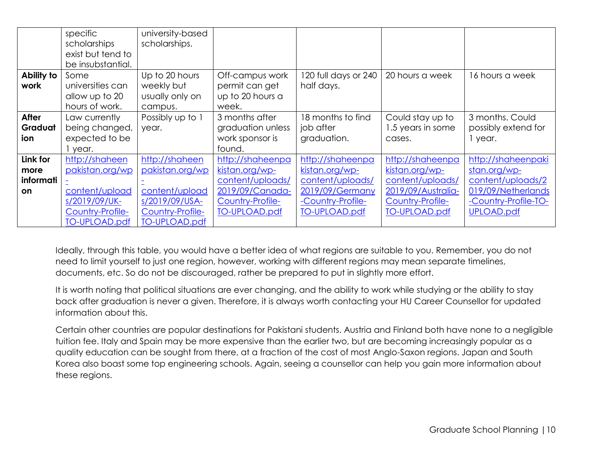|            | specific<br>scholarships<br>exist but tend to | university-based<br>scholarships. |                           |                      |                      |                      |
|------------|-----------------------------------------------|-----------------------------------|---------------------------|----------------------|----------------------|----------------------|
|            | be insubstantial.                             |                                   |                           |                      |                      |                      |
| Ability to | Some                                          | Up to 20 hours                    | Off-campus work           | 120 full days or 240 | 20 hours a week      | 16 hours a week      |
| work       | universities can                              | weekly but                        | permit can get            | half days.           |                      |                      |
|            | allow up to 20<br>hours of work.              | usually only on<br>campus.        | up to 20 hours a<br>week. |                      |                      |                      |
| After      | Law currently                                 | Possibly up to 1                  | 3 months after            | 18 months to find    | Could stay up to     | 3 months. Could      |
| Graduat    | being changed,                                | year.                             | graduation unless         | job after            | 1.5 years in some    | possibly extend for  |
| ion        | expected to be<br>year.                       |                                   | work sponsor is<br>found. | graduation.          | cases.               | 1 year.              |
| Link for   | http://shaheen                                | http://shaheen                    | http://shaheenpa          | http://shaheenpa     | http://shaheenpa     | http://shaheenpaki   |
| more       | pakistan.org/wp                               | pakistan.org/wp                   | kistan.org/wp-            | kistan.org/wp-       | kistan.org/wp-       | stan.org/wp-         |
| informati  |                                               |                                   | content/uploads/          | content/uploads/     | content/uploads/     | content/uploads/2    |
| <b>on</b>  | content/upload                                | content/upload                    | 2019/09/Canada-           | 2019/09/Germany      | 2019/09/Australia-   | 019/09/Netherlands   |
|            | s/2019/09/UK-                                 | s/2019/09/USA-                    | Country-Profile-          | -Country-Profile-    | Country-Profile-     | -Country-Profile-TO- |
|            | Country-Profile-                              | Country-Profile-                  | <b>TO-UPLOAD.pdf</b>      | <b>TO-UPLOAD.pdf</b> | <b>TO-UPLOAD.pdf</b> | <b>UPLOAD.pdf</b>    |
|            | <b>TO-UPLOAD.pdf</b>                          | <b>TO-UPLOAD.pdf</b>              |                           |                      |                      |                      |

Ideally, through this table, you would have a better idea of what regions are suitable to you. Remember, you do not need to limit yourself to just one region, however, working with different regions may mean separate timelines, documents, etc. So do not be discouraged, rather be prepared to put in slightly more effort.

It is worth noting that political situations are ever changing, and the ability to work while studying or the ability to stay back after graduation is never a given. Therefore, it is always worth contacting your HU Career Counsellor for updated information about this.

Certain other countries are popular destinations for Pakistani students. Austria and Finland both have none to a negligible tuition fee. Italy and Spain may be more expensive than the earlier two, but are becoming increasingly popular as a quality education can be sought from there, at a fraction of the cost of most Anglo-Saxon regions. Japan and South Korea also boast some top engineering schools. Again, seeing a counsellor can help you gain more information about these regions.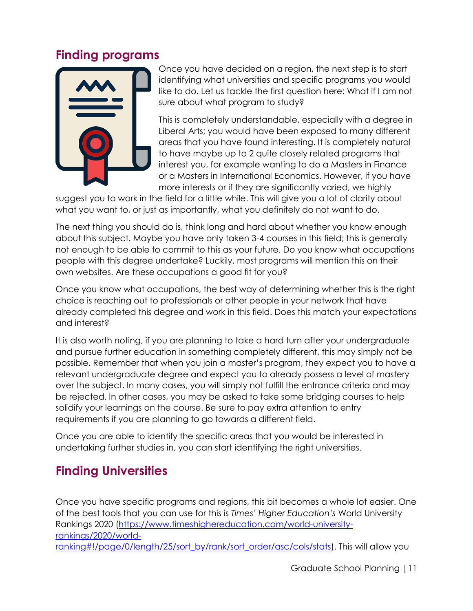## <span id="page-10-0"></span>**Finding programs**



Once you have decided on a region, the next step is to start identifying what universities and specific programs you would like to do. Let us tackle the first question here: What if I am not sure about what program to study?

This is completely understandable, especially with a degree in Liberal Arts; you would have been exposed to many different areas that you have found interesting. It is completely natural to have maybe up to 2 quite closely related programs that interest you, for example wanting to do a Masters in Finance or a Masters in International Economics. However, if you have more interests or if they are significantly varied, we highly

suggest you to work in the field for a little while. This will give you a lot of clarity about what you want to, or just as importantly, what you definitely do not want to do.

The next thing you should do is, think long and hard about whether you know enough about this subject. Maybe you have only taken 3-4 courses in this field; this is generally not enough to be able to commit to this as your future. Do you know what occupations people with this degree undertake? Luckily, most programs will mention this on their own websites. Are these occupations a good fit for you?

Once you know what occupations, the best way of determining whether this is the right choice is reaching out to professionals or other people in your network that have already completed this degree and work in this field. Does this match your expectations and interest?

It is also worth noting, if you are planning to take a hard turn after your undergraduate and pursue further education in something completely different, this may simply not be possible. Remember that when you join a master's program, they expect you to have a relevant undergraduate degree and expect you to already possess a level of mastery over the subject. In many cases, you will simply not fulfill the entrance criteria and may be rejected. In other cases, you may be asked to take some bridging courses to help solidify your learnings on the course. Be sure to pay extra attention to entry requirements if you are planning to go towards a different field.

Once you are able to identify the specific areas that you would be interested in undertaking further studies in, you can start identifying the right universities.

## <span id="page-10-1"></span>**Finding Universities**

Once you have specific programs and regions, this bit becomes a whole lot easier. One of the best tools that you can use for this is *Times' Higher Education's* World University Rankings 2020 [\(https://www.timeshighereducation.com/world-university](https://www.timeshighereducation.com/world-university-rankings/2020/world-ranking#!/page/0/length/25/sort_by/rank/sort_order/asc/cols/stats)[rankings/2020/world](https://www.timeshighereducation.com/world-university-rankings/2020/world-ranking#!/page/0/length/25/sort_by/rank/sort_order/asc/cols/stats)[ranking#!/page/0/length/25/sort\\_by/rank/sort\\_order/asc/cols/stats\)](https://www.timeshighereducation.com/world-university-rankings/2020/world-ranking#!/page/0/length/25/sort_by/rank/sort_order/asc/cols/stats). This will allow you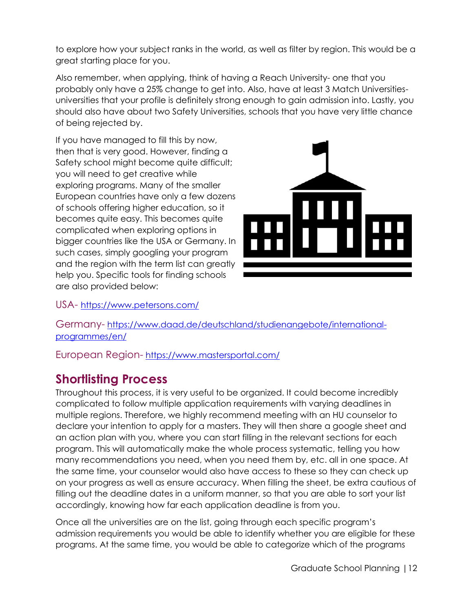to explore how your subject ranks in the world, as well as filter by region. This would be a great starting place for you.

Also remember, when applying, think of having a Reach University- one that you probably only have a 25% change to get into. Also, have at least 3 Match Universitiesuniversities that your profile is definitely strong enough to gain admission into. Lastly, you should also have about two Safety Universities, schools that you have very little chance of being rejected by.

If you have managed to fill this by now, then that is very good. However, finding a Safety school might become quite difficult; you will need to get creative while exploring programs. Many of the smaller European countries have only a few dozens of schools offering higher education, so it becomes quite easy. This becomes quite complicated when exploring options in bigger countries like the USA or Germany. In such cases, simply googling your program and the region with the term list can greatly help you. Specific tools for finding schools are also provided below:



USA- <https://www.petersons.com/>

Germany- [https://www.daad.de/deutschland/studienangebote/international](https://www.daad.de/deutschland/studienangebote/international-programmes/en/)[programmes/en/](https://www.daad.de/deutschland/studienangebote/international-programmes/en/)

European Region- <https://www.mastersportal.com/>

## <span id="page-11-0"></span>**Shortlisting Process**

Throughout this process, it is very useful to be organized. It could become incredibly complicated to follow multiple application requirements with varying deadlines in multiple regions. Therefore, we highly recommend meeting with an HU counselor to declare your intention to apply for a masters. They will then share a google sheet and an action plan with you, where you can start filling in the relevant sections for each program. This will automatically make the whole process systematic, telling you how many recommendations you need, when you need them by, etc. all in one space. At the same time, your counselor would also have access to these so they can check up on your progress as well as ensure accuracy. When filling the sheet, be extra cautious of filling out the deadline dates in a uniform manner, so that you are able to sort your list accordingly, knowing how far each application deadline is from you.

Once all the universities are on the list, going through each specific program's admission requirements you would be able to identify whether you are eligible for these programs. At the same time, you would be able to categorize which of the programs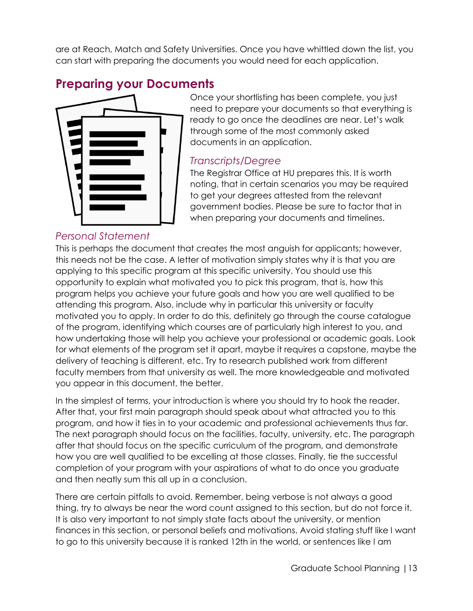are at Reach, Match and Safety Universities. Once you have whittled down the list, you can start with preparing the documents you would need for each application.

## <span id="page-12-0"></span>**Preparing your Documents**



#### Once your shortlisting has been complete, you just need to prepare your documents so that everything is ready to go once the deadlines are near. Let's walk through some of the most commonly asked documents in an application.

#### <span id="page-12-1"></span>*Transcripts/Degree*

The Registrar Office at HU prepares this. It is worth noting, that in certain scenarios you may be required to get your degrees attested from the relevant government bodies. Please be sure to factor that in when preparing your documents and timelines.

#### *Personal Statement*

<span id="page-12-2"></span>This is perhaps the document that creates the most anguish for applicants; however, this needs not be the case. A letter of motivation simply states why it is that you are applying to this specific program at this specific university. You should use this opportunity to explain what motivated you to pick this program, that is, how this program helps you achieve your future goals and how you are well qualified to be attending this program. Also, include why in particular this university or faculty motivated you to apply. In order to do this, definitely go through the course catalogue of the program, identifying which courses are of particularly high interest to you, and how undertaking those will help you achieve your professional or academic goals. Look for what elements of the program set it apart, maybe it requires a capstone, maybe the delivery of teaching is different, etc. Try to research published work from different faculty members from that university as well. The more knowledgeable and motivated you appear in this document, the better.

In the simplest of terms, your introduction is where you should try to hook the reader. After that, your first main paragraph should speak about what attracted you to this program, and how it ties in to your academic and professional achievements thus far. The next paragraph should focus on the facilities, faculty, university, etc. The paragraph after that should focus on the specific curriculum of the program, and demonstrate how you are well qualified to be excelling at those classes. Finally, tie the successful completion of your program with your aspirations of what to do once you graduate and then neatly sum this all up in a conclusion.

There are certain pitfalls to avoid. Remember, being verbose is not always a good thing, try to always be near the word count assigned to this section, but do not force it. It is also very important to not simply state facts about the university, or mention finances in this section, or personal beliefs and motivations. Avoid stating stuff like I want to go to this university because it is ranked 12th in the world, or sentences like I am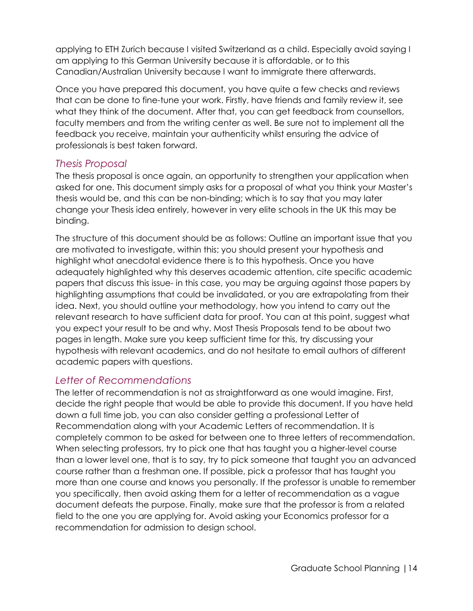applying to ETH Zurich because I visited Switzerland as a child. Especially avoid saying I am applying to this German University because it is affordable, or to this Canadian/Australian University because I want to immigrate there afterwards.

Once you have prepared this document, you have quite a few checks and reviews that can be done to fine-tune your work. Firstly, have friends and family review it, see what they think of the document. After that, you can get feedback from counsellors, faculty members and from the writing center as well. Be sure not to implement all the feedback you receive, maintain your authenticity whilst ensuring the advice of professionals is best taken forward.

#### *Thesis Proposal*

The thesis proposal is once again, an opportunity to strengthen your application when asked for one. This document simply asks for a proposal of what you think your Master's thesis would be, and this can be non-binding; which is to say that you may later change your Thesis idea entirely, however in very elite schools in the UK this may be binding.

The structure of this document should be as follows: Outline an important issue that you are motivated to investigate, within this; you should present your hypothesis and highlight what anecdotal evidence there is to this hypothesis. Once you have adequately highlighted why this deserves academic attention, cite specific academic papers that discuss this issue- in this case, you may be arguing against those papers by highlighting assumptions that could be invalidated, or you are extrapolating from their idea. Next, you should outline your methodology, how you intend to carry out the relevant research to have sufficient data for proof. You can at this point, suggest what you expect your result to be and why. Most Thesis Proposals tend to be about two pages in length. Make sure you keep sufficient time for this, try discussing your hypothesis with relevant academics, and do not hesitate to email authors of different academic papers with questions.

#### <span id="page-13-0"></span>*Letter of Recommendations*

The letter of recommendation is not as straightforward as one would imagine. First, decide the right people that would be able to provide this document. If you have held down a full time job, you can also consider getting a professional Letter of Recommendation along with your Academic Letters of recommendation. It is completely common to be asked for between one to three letters of recommendation. When selecting professors, try to pick one that has taught you a higher-level course than a lower level one, that is to say, try to pick someone that taught you an advanced course rather than a freshman one. If possible, pick a professor that has taught you more than one course and knows you personally. If the professor is unable to remember you specifically, then avoid asking them for a letter of recommendation as a vague document defeats the purpose. Finally, make sure that the professor is from a related field to the one you are applying for. Avoid asking your Economics professor for a recommendation for admission to design school.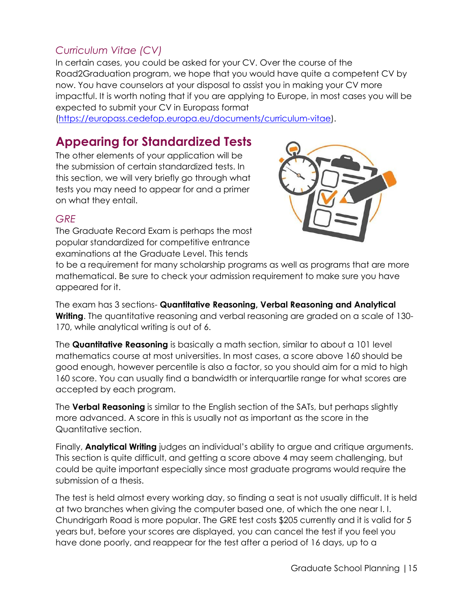## <span id="page-14-0"></span>*Curriculum Vitae (CV)*

In certain cases, you could be asked for your CV. Over the course of the Road2Graduation program, we hope that you would have quite a competent CV by now. You have counselors at your disposal to assist you in making your CV more impactful. It is worth noting that if you are applying to Europe, in most cases you will be expected to submit your CV in Europass format

[\(https://europass.cedefop.europa.eu/documents/curriculum-vitae\)](https://europass.cedefop.europa.eu/documents/curriculum-vitae).

## <span id="page-14-1"></span>**Appearing for Standardized Tests**

The other elements of your application will be the submission of certain standardized tests. In this section, we will very briefly go through what tests you may need to appear for and a primer on what they entail.



#### <span id="page-14-2"></span>*GRE*

The Graduate Record Exam is perhaps the most popular standardized for competitive entrance examinations at the Graduate Level. This tends

to be a requirement for many scholarship programs as well as programs that are more mathematical. Be sure to check your admission requirement to make sure you have appeared for it.

The exam has 3 sections- **Quantitative Reasoning, Verbal Reasoning and Analytical Writing**. The quantitative reasoning and verbal reasoning are graded on a scale of 130-170, while analytical writing is out of 6.

The **Quantitative Reasoning** is basically a math section, similar to about a 101 level mathematics course at most universities. In most cases, a score above 160 should be good enough, however percentile is also a factor, so you should aim for a mid to high 160 score. You can usually find a bandwidth or interquartile range for what scores are accepted by each program.

The **Verbal Reasoning** is similar to the English section of the SATs, but perhaps slightly more advanced. A score in this is usually not as important as the score in the Quantitative section.

Finally, **Analytical Writing** judges an individual's ability to argue and critique arguments. This section is quite difficult, and getting a score above 4 may seem challenging, but could be quite important especially since most graduate programs would require the submission of a thesis.

The test is held almost every working day, so finding a seat is not usually difficult. It is held at two branches when giving the computer based one, of which the one near I. I. Chundrigarh Road is more popular. The GRE test costs \$205 currently and it is valid for 5 years but, before your scores are displayed, you can cancel the test if you feel you have done poorly, and reappear for the test after a period of 16 days, up to a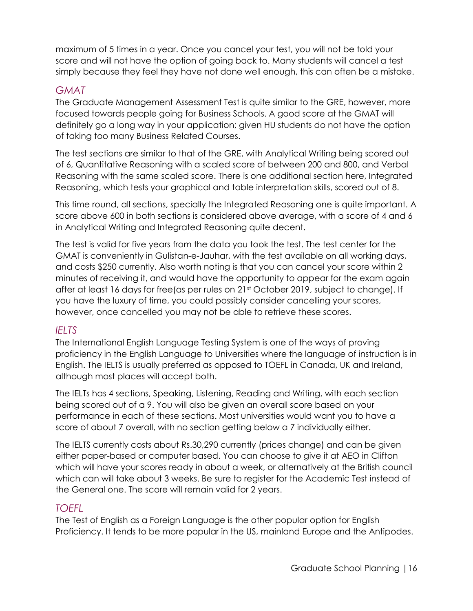maximum of 5 times in a year. Once you cancel your test, you will not be told your score and will not have the option of going back to. Many students will cancel a test simply because they feel they have not done well enough, this can often be a mistake.

#### <span id="page-15-0"></span>*GMAT*

The Graduate Management Assessment Test is quite similar to the GRE, however, more focused towards people going for Business Schools. A good score at the GMAT will definitely go a long way in your application; given HU students do not have the option of taking too many Business Related Courses.

The test sections are similar to that of the GRE, with Analytical Writing being scored out of 6, Quantitative Reasoning with a scaled score of between 200 and 800, and Verbal Reasoning with the same scaled score. There is one additional section here, Integrated Reasoning, which tests your graphical and table interpretation skills, scored out of 8.

This time round, all sections, specially the Integrated Reasoning one is quite important. A score above 600 in both sections is considered above average, with a score of 4 and 6 in Analytical Writing and Integrated Reasoning quite decent.

The test is valid for five years from the data you took the test. The test center for the GMAT is conveniently in Gulistan-e-Jauhar, with the test available on all working days, and costs \$250 currently. Also worth noting is that you can cancel your score within 2 minutes of receiving it, and would have the opportunity to appear for the exam again after at least 16 days for free(as per rules on 21st October 2019, subject to change). If you have the luxury of time, you could possibly consider cancelling your scores, however, once cancelled you may not be able to retrieve these scores.

#### <span id="page-15-1"></span>*IELTS*

The International English Language Testing System is one of the ways of proving proficiency in the English Language to Universities where the language of instruction is in English. The IELTS is usually preferred as opposed to TOEFL in Canada, UK and Ireland, although most places will accept both.

The IELTs has 4 sections, Speaking, Listening, Reading and Writing, with each section being scored out of a 9. You will also be given an overall score based on your performance in each of these sections. Most universities would want you to have a score of about 7 overall, with no section getting below a 7 individually either.

The IELTS currently costs about Rs.30,290 currently (prices change) and can be given either paper-based or computer based. You can choose to give it at AEO in Clifton which will have your scores ready in about a week, or alternatively at the British council which can will take about 3 weeks. Be sure to register for the Academic Test instead of the General one. The score will remain valid for 2 years.

#### <span id="page-15-2"></span>*TOEFL*

The Test of English as a Foreign Language is the other popular option for English Proficiency. It tends to be more popular in the US, mainland Europe and the Antipodes.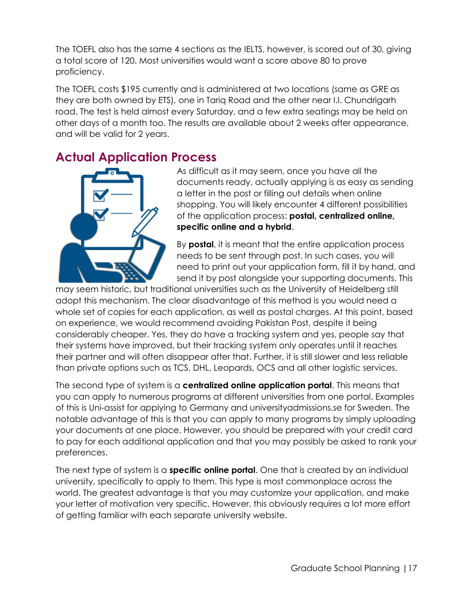The TOEFL also has the same 4 sections as the IELTS, however, is scored out of 30, giving a total score of 120. Most universities would want a score above 80 to prove proficiency.

The TOEFL costs \$195 currently and is administered at two locations (same as GRE as they are both owned by ETS), one in Tariq Road and the other near I.I. Chundrigarh road. The test is held almost every Saturday, and a few extra seatings may be held on other days of a month too. The results are available about 2 weeks after appearance, and will be valid for 2 years.

## <span id="page-16-0"></span>**Actual Application Process**



As difficult as it may seem, once you have all the documents ready, actually applying is as easy as sending a letter in the post or filling out details when online shopping. You will likely encounter 4 different possibilities of the application process: **postal, centralized online, specific online and a hybrid**.

By **postal**, it is meant that the entire application process needs to be sent through post. In such cases, you will need to print out your application form, fill it by hand, and send it by post alongside your supporting documents. This

may seem historic, but traditional universities such as the University of Heidelberg still adopt this mechanism. The clear disadvantage of this method is you would need a whole set of copies for each application, as well as postal charges. At this point, based on experience, we would recommend avoiding Pakistan Post, despite it being considerably cheaper. Yes, they do have a tracking system and yes, people say that their systems have improved, but their tracking system only operates until it reaches their partner and will often disappear after that. Further, it is still slower and less reliable than private options such as TCS, DHL, Leopards, OCS and all other logistic services.

The second type of system is a **centralized online application portal**. This means that you can apply to numerous programs at different universities from one portal. Examples of this is Uni-assist for applying to Germany and universityadmissions.se for Sweden. The notable advantage of this is that you can apply to many programs by simply uploading your documents at one place. However, you should be prepared with your credit card to pay for each additional application and that you may possibly be asked to rank your preferences.

The next type of system is a **specific online portal**. One that is created by an individual university, specifically to apply to them. This type is most commonplace across the world. The greatest advantage is that you may customize your application, and make your letter of motivation very specific. However, this obviously requires a lot more effort of getting familiar with each separate university website.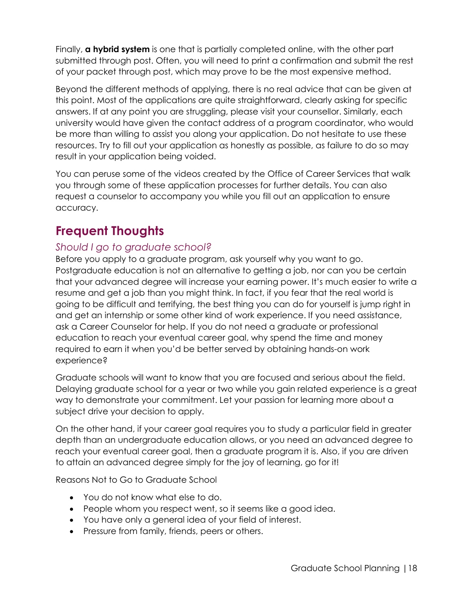Finally, **a hybrid system** is one that is partially completed online, with the other part submitted through post. Often, you will need to print a confirmation and submit the rest of your packet through post, which may prove to be the most expensive method.

Beyond the different methods of applying, there is no real advice that can be given at this point. Most of the applications are quite straightforward, clearly asking for specific answers. If at any point you are struggling, please visit your counsellor. Similarly, each university would have given the contact address of a program coordinator, who would be more than willing to assist you along your application. Do not hesitate to use these resources. Try to fill out your application as honestly as possible, as failure to do so may result in your application being voided.

You can peruse some of the videos created by the Office of Career Services that walk you through some of these application processes for further details. You can also request a counselor to accompany you while you fill out an application to ensure accuracy.

## <span id="page-17-0"></span>**Frequent Thoughts**

### <span id="page-17-1"></span>*Should I go to graduate school?*

Before you apply to a graduate program, ask yourself why you want to go. Postgraduate education is not an alternative to getting a job, nor can you be certain that your advanced degree will increase your earning power. It's much easier to write a resume and get a job than you might think. In fact, if you fear that the real world is going to be difficult and terrifying, the best thing you can do for yourself is jump right in and get an internship or some other kind of work experience. If you need assistance, ask a Career Counselor for help. If you do not need a graduate or professional education to reach your eventual career goal, why spend the time and money required to earn it when you'd be better served by obtaining hands-on work experience?

Graduate schools will want to know that you are focused and serious about the field. Delaying graduate school for a year or two while you gain related experience is a great way to demonstrate your commitment. Let your passion for learning more about a subject drive your decision to apply.

On the other hand, if your career goal requires you to study a particular field in greater depth than an undergraduate education allows, or you need an advanced degree to reach your eventual career goal, then a graduate program it is. Also, if you are driven to attain an advanced degree simply for the joy of learning, go for it!

Reasons Not to Go to Graduate School

- You do not know what else to do.
- People whom you respect went, so it seems like a good idea.
- You have only a general idea of your field of interest.
- Pressure from family, friends, peers or others.